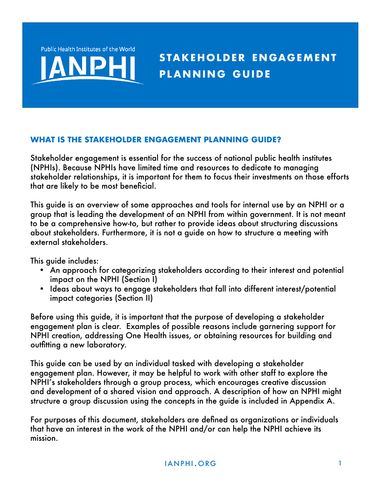**Public Health Institutes of the World** 



## **WHAT IS THE STAKEHOLDER ENGAGEMENT PLANNING GUIDE?**

Stakeholder engagement is essential for the success of national public health institutes (NPHIs). Because NPHIs have limited time and resources to dedicate to managing stakeholder relationships, it is important for them to focus their investments on those efforts that are likely to be most beneficial.

This guide is an overview of some approaches and tools for internal use by an NPHI or a group that is leading the development of an NPHI from within government. It is not meant to be a comprehensive how-to, but rather to provide ideas about structuring discussions about stakeholders. Furthermore, it is not a guide on how to structure a meeting with external stakeholders.

This guide includes:

- An approach for categorizing stakeholders according to their interest and potential impact on the NPHI (Section I)
- Ideas about ways to engage stakeholders that fall into different interest/potential impact categories (Section II)

Before using this guide, it is important that the purpose of developing a stakeholder engagement plan is clear. Examples of possible reasons include garnering support for NPHI creation, addressing One Health issues, or obtaining resources for building and outfitting a new laboratory.

This guide can be used by an individual tasked with developing a stakeholder engagement plan. However, it may be helpful to work with other staff to explore the NPHI's stakeholders through a group process, which encourages creative discussion and development of a shared vision and approach. A description of how an NPHI might structure a group discussion using the concepts in the guide is included in Appendix A.

For purposes of this document, stakeholders are defined as organizations or individuals that have an interest in the work of the NPHI and/or can help the NPHI achieve its mission.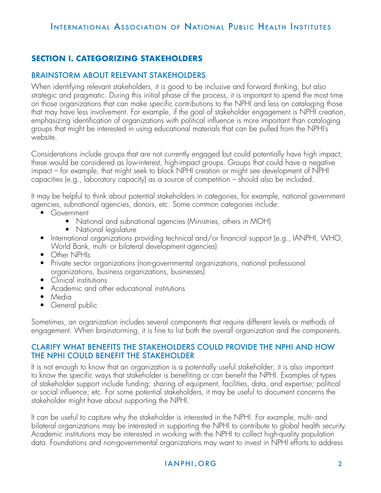# **SECTION I. CATEGORIZING STAKEHOLDERS**

#### BRAINSTORM ABOUT RELEVANT STAKEHOLDERS

When identifying relevant stakeholders, it is good to be inclusive and forward thinking, but also strategic and pragmatic. During this initial phase of the process, it is important to spend the most time on those organizations that can make specific contributions to the NPHI and less on cataloging those that may have less involvement. For example, if the goal of stakeholder engagement is NPHI creation, emphasizing identification of organizations with political influence is more important than cataloging groups that might be interested in using educational materials that can be pulled from the NPHI's website.

Considerations include groups that are not currently engaged but could potentially have high impact; these would be considered as low-interest, high-impact groups. Groups that could have a negative impact – for example, that might seek to block NPHI creation or might see development of NPHI capacities (e.g., laboratory capacity) as a source of competition – should also be included.

It may be helpful to think about potential stakeholders in categories, for example, national government agencies, subnational agencies, donors, etc. Some common categories include:

- Government
	- National and subnational agencies (Ministries, others in MOH)
	- National legislature
- International organizations providing technical and/or financial support (e.g., IANPHI, WHO, World Bank, multi- or bilateral development agencies)
- Other NPHIs
- Private sector organizations (non-governmental organizations, national professional organizations, business organizations, businesses)
- Clinical institutions
- Academic and other educational institutions
- Media
- General public

Sometimes, an organization includes several components that require different levels or methods of engagement. When brainstorming, it is fine to list both the overall organization and the components.

#### CLARIFY WHAT BENEFITS THE STAKEHOLDERS COULD PROVIDE THE NPHI AND HOW THE NPHI COULD BENEFIT THE STAKEHOLDER

It is not enough to know that an organization is a potentially useful stakeholder; it is also important to know the specific ways that stakeholder is benefiting or can benefit the NPHI. Examples of types of stakeholder support include funding; sharing of equipment, facilities, data, and expertise; political or social influence; etc. For some potential stakeholders, it may be useful to document concerns the stakeholder might have about supporting the NPHI.

It can be useful to capture why the stakeholder is interested in the NPHI. For example, multi- and bilateral organizations may be interested in supporting the NPHI to contribute to global health security. Academic institutions may be interested in working with the NPHI to collect high-quality population data. Foundations and non-governmental organizations may want to invest in NPHI efforts to address

## i an p hi an p hi an p hi an p hi an p hi an p hi an p hi an p hi an p hi an p hi an p hi an p hi an p hi an p h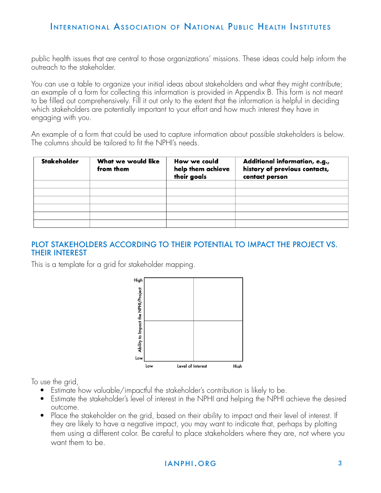public health issues that are central to those organizations' missions. These ideas could help inform the outreach to the stakeholder.

You can use a table to organize your initial ideas about stakeholders and what they might contribute; an example of a form for collecting this information is provided in Appendix B. This form is not meant to be filled out comprehensively. Fill it out only to the extent that the information is helpful in deciding which stakeholders are potentially important to your effort and how much interest they have in engaging with you.

An example of a form that could be used to capture information about possible stakeholders is below. The columns should be tailored to fit the NPHI's needs.

| Stakeholder | What we would like<br>from them | How we could<br>help them achieve<br>their goals | Additional information, e.g.,<br>history of previous contacts,<br>contact person |
|-------------|---------------------------------|--------------------------------------------------|----------------------------------------------------------------------------------|
|             |                                 |                                                  |                                                                                  |
|             |                                 |                                                  |                                                                                  |
|             |                                 |                                                  |                                                                                  |
|             |                                 |                                                  |                                                                                  |
|             |                                 |                                                  |                                                                                  |
|             |                                 |                                                  |                                                                                  |

### PLOT STAKEHOLDERS ACCORDING TO THEIR POTENTIAL TO IMPACT THE PROJECT VS. THEIR INTEREST

This is a template for a grid for stakeholder mapping.



To use the grid,

- Estimate how valuable/impactful the stakeholder's contribution is likely to be.
- Estimate the stakeholder's level of interest in the NPHI and helping the NPHI achieve the desired outcome.
- Place the stakeholder on the grid, based on their ability to impact and their level of interest. If they are likely to have a negative impact, you may want to indicate that, perhaps by plotting them using a different color. Be careful to place stakeholders where they are, not where you want them to be.

### i an p hi an p hi an p hi an p hi an p hi an p hi an p hi an p hi an p hi an p hi an p hi an p hi an p hi an p h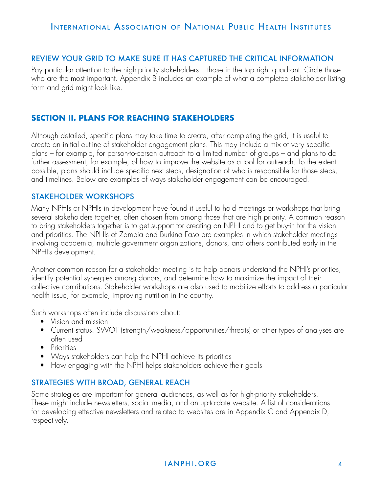### REVIEW YOUR GRID TO MAKE SURE IT HAS CAPTURED THE CRITICAL INFORMATION

Pay particular attention to the high-priority stakeholders – those in the top right quadrant. Circle those who are the most important. Appendix B includes an example of what a completed stakeholder listing form and grid might look like.

## **SECTION II. PLANS FOR REACHING STAKEHOLDERS**

Although detailed, specific plans may take time to create, after completing the grid, it is useful to create an initial outline of stakeholder engagement plans. This may include a mix of very specific plans – for example, for person-to-person outreach to a limited number of groups – and plans to do further assessment, for example, of how to improve the website as a tool for outreach. To the extent possible, plans should include specific next steps, designation of who is responsible for those steps, and timelines. Below are examples of ways stakeholder engagement can be encouraged.

#### STAKEHOLDER WORKSHOPS

Many NPHIs or NPHIs in development have found it useful to hold meetings or workshops that bring several stakeholders together, often chosen from among those that are high priority. A common reason to bring stakeholders together is to get support for creating an NPHI and to get buy-in for the vision and priorities. The NPHIs of Zambia and Burkina Faso are examples in which stakeholder meetings involving academia, multiple government organizations, donors, and others contributed early in the NPHI's development.

Another common reason for a stakeholder meeting is to help donors understand the NPHI's priorities, identify potential synergies among donors, and determine how to maximize the impact of their collective contributions. Stakeholder workshops are also used to mobilize efforts to address a particular health issue, for example, improving nutrition in the country.

Such workshops often include discussions about:

- Vision and mission
- Current status. SWOT (strength/weakness/opportunities/threats) or other types of analyses are often used
- Priorities
- Ways stakeholders can help the NPHI achieve its priorities
- How engaging with the NPHI helps stakeholders achieve their goals

### STRATEGIES WITH BROAD, GENERAL REACH

Some strategies are important for general audiences, as well as for high-priority stakeholders. These might include newsletters, social media, and an up-to-date website. A list of considerations for developing effective newsletters and related to websites are in Appendix C and Appendix D, respectively.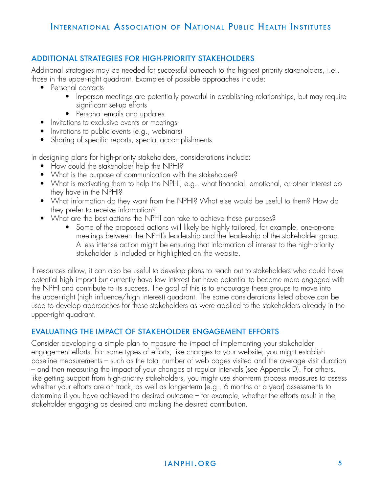## ADDITIONAL STRATEGIES FOR HIGH-PRIORITY STAKEHOLDERS

Additional strategies may be needed for successful outreach to the highest priority stakeholders, i.e., those in the upper-right quadrant. Examples of possible approaches include:

- Personal contacts
	- In-person meetings are potentially powerful in establishing relationships, but may require significant set-up efforts
	- Personal emails and updates
- Invitations to exclusive events or meetings
- Invitations to public events (e.g., webinars)
- Sharing of specific reports, special accomplishments

In designing plans for high-priority stakeholders, considerations include:

- How could the stakeholder help the NPHI?
- What is the purpose of communication with the stakeholder?
- What is motivating them to help the NPHI, e.g., what financial, emotional, or other interest do they have in the NPHI?
- What information do they want from the NPHI? What else would be useful to them? How do they prefer to receive information?
- What are the best actions the NPHI can take to achieve these purposes?
	- Some of the proposed actions will likely be highly tailored, for example, one-on-one meetings between the NPHI's leadership and the leadership of the stakeholder group. A less intense action might be ensuring that information of interest to the high-priority stakeholder is included or highlighted on the website.

If resources allow, it can also be useful to develop plans to reach out to stakeholders who could have potential high impact but currently have low interest but have potential to become more engaged with the NPHI and contribute to its success. The goal of this is to encourage these groups to move into the upper-right (high influence/high interest) quadrant. The same considerations listed above can be used to develop approaches for these stakeholders as were applied to the stakeholders already in the upper-right quadrant.

## EVALUATING THE IMPACT OF STAKEHOLDER ENGAGEMENT EFFORTS

Consider developing a simple plan to measure the impact of implementing your stakeholder engagement efforts. For some types of efforts, like changes to your website, you might establish baseline measurements – such as the total number of web pages visited and the average visit duration – and then measuring the impact of your changes at regular intervals (see Appendix D). For others, like getting support from high-priority stakeholders, you might use short-term process measures to assess whether your efforts are on track, as well as longer-term (e.g., 6 months or a year) assessments to determine if you have achieved the desired outcome – for example, whether the efforts result in the stakeholder engaging as desired and making the desired contribution.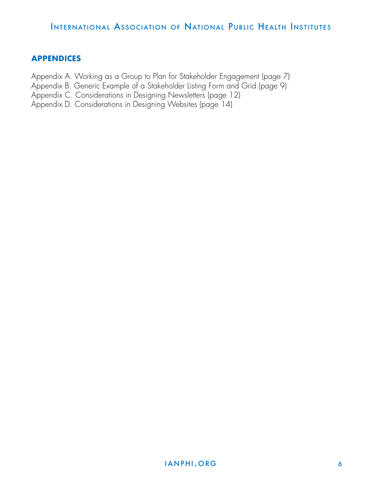## **APPENDICES**

Appendix A. Working as a Group to Plan for Stakeholder Engagement (page 7)

Appendix B. Generic Example of a Stakeholder Listing Form and Grid (page 9)

Appendix C. Considerations in Designing Newsletters (page 12)

Appendix D. Considerations in Designing Websites (page 14)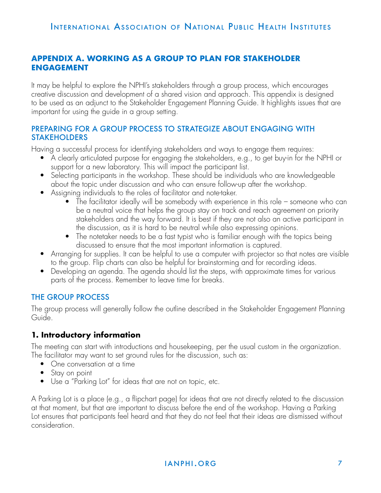# **APPENDIX A. WORKING AS A GROUP TO PLAN FOR STAKEHOLDER ENGAGEMENT**

It may be helpful to explore the NPHI's stakeholders through a group process, which encourages creative discussion and development of a shared vision and approach. This appendix is designed to be used as an adjunct to the Stakeholder Engagement Planning Guide. It highlights issues that are important for using the guide in a group setting.

### PREPARING FOR A GROUP PROCESS TO STRATEGIZE ABOUT ENGAGING WITH STAKEHOLDERS

Having a successful process for identifying stakeholders and ways to engage them requires:

- A clearly articulated purpose for engaging the stakeholders, e.g., to get buy-in for the NPHI or support for a new laboratory. This will impact the participant list.
- Selecting participants in the workshop. These should be individuals who are knowledgeable about the topic under discussion and who can ensure follow-up after the workshop.
- Assigning individuals to the roles of facilitator and note-taker.
	- The facilitator ideally will be somebody with experience in this role someone who can be a neutral voice that helps the group stay on track and reach agreement on priority stakeholders and the way forward. It is best if they are not also an active participant in the discussion, as it is hard to be neutral while also expressing opinions.
	- The notetaker needs to be a fast typist who is familiar enough with the topics being discussed to ensure that the most important information is captured.
- Arranging for supplies. It can be helpful to use a computer with projector so that notes are visible to the group. Flip charts can also be helpful for brainstorming and for recording ideas.
- Developing an agenda. The agenda should list the steps, with approximate times for various parts of the process. Remember to leave time for breaks.

# THE GROUP PROCESS

The group process will generally follow the outline described in the Stakeholder Engagement Planning Guide.

# **1. Introductory information**

The meeting can start with introductions and housekeeping, per the usual custom in the organization. The facilitator may want to set ground rules for the discussion, such as:

- One conversation at a time
- Stay on point
- Use a "Parking Lot" for ideas that are not on topic, etc.

A Parking Lot is a place (e.g., a flipchart page) for ideas that are not directly related to the discussion at that moment, but that are important to discuss before the end of the workshop. Having a Parking Lot ensures that participants feel heard and that they do not feel that their ideas are dismissed without consideration.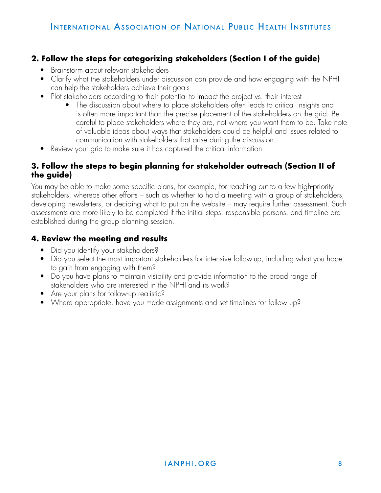# **2. Follow the steps for categorizing stakeholders (Section I of the guide)**

- Brainstorm about relevant stakeholders
- Clarify what the stakeholders under discussion can provide and how engaging with the NPHI can help the stakeholders achieve their goals
- Plot stakeholders according to their potential to impact the project vs. their interest
	- The discussion about where to place stakeholders often leads to critical insights and is often more important than the precise placement of the stakeholders on the grid. Be careful to place stakeholders where they are, not where you want them to be. Take note of valuable ideas about ways that stakeholders could be helpful and issues related to communication with stakeholders that arise during the discussion.
- Review your grid to make sure it has captured the critical information

### **3. Follow the steps to begin planning for stakeholder outreach (Section II of the guide)**

You may be able to make some specific plans, for example, for reaching out to a few high-priority stakeholders, whereas other efforts – such as whether to hold a meeting with a group of stakeholders, developing newsletters, or deciding what to put on the website – may require further assessment. Such assessments are more likely to be completed if the initial steps, responsible persons, and timeline are established during the group planning session.

# **4. Review the meeting and results**

- Did you identify your stakeholders?
- Did you select the most important stakeholders for intensive follow-up, including what you hope to gain from engaging with them?
- Do you have plans to maintain visibility and provide information to the broad range of stakeholders who are interested in the NPHI and its work?
- Are your plans for follow-up realistic?
- Where appropriate, have you made assignments and set timelines for follow up?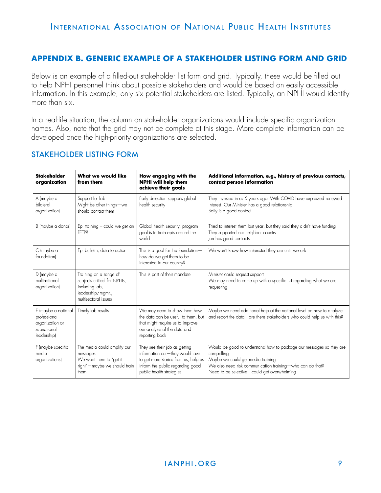## **APPENDIX B. GENERIC EXAMPLE OF A STAKEHOLDER LISTING FORM AND GRID**

Below is an example of a filled-out stakeholder list form and grid. Typically, these would be filled out to help NPHI personnel think about possible stakeholders and would be based on easily accessible information. In this example, only six potential stakeholders are listed. Typically, an NPHI would identify more than six.

In a real-life situation, the column on stakeholder organizations would include specific organization names. Also, note that the grid may not be complete at this stage. More complete information can be developed once the high-priority organizations are selected.

| Stakeholder<br>organization                                                          | What we would like<br>from them                                                                                       | How engaging with the<br>NPHI will help them<br>achieve their goals                                                                                                      | Additional information, e.g., history of previous contacts,<br>contact person information                                                                                                                                          |
|--------------------------------------------------------------------------------------|-----------------------------------------------------------------------------------------------------------------------|--------------------------------------------------------------------------------------------------------------------------------------------------------------------------|------------------------------------------------------------------------------------------------------------------------------------------------------------------------------------------------------------------------------------|
| A (maybe a<br>bilateral<br>organization)                                             | Support for lab<br>Might be other things-we<br>should contact them                                                    | Early detection supports global<br>health security                                                                                                                       | They invested in us 5 years ago. With COVID have expressed renewed<br>interest. Our Minister has a good relationship<br>Sally is a good contact                                                                                    |
| B (maybe a donor)                                                                    | Epi training $-$ could we get an<br><b>LELLS</b>                                                                      | Global health security, program<br>goal is to train epis around the<br>world                                                                                             | Tried to interest them last year, but they said they didn't have funding<br>They supported our neighbor country<br>Jon has good contacts                                                                                           |
| C (maybe a<br>foundation)                                                            | Epi bulletin, data to action                                                                                          | This is a goal for the foundation $-$<br>how do we get them to be<br>interested in our country?                                                                          | We won't know how interested they are until we ask                                                                                                                                                                                 |
| D (maybe a<br>multinational<br>organization)                                         | Training on a range of<br>subjects critical for NPHIs,<br>including lab,<br>leadership/mgmt.,<br>multisectoral issues | This is part of their mandate                                                                                                                                            | Minister could request support<br>We may need to come up with a specific list regarding what we are<br>requesting                                                                                                                  |
| E (maybe a national<br>professional<br>organization or<br>subnational<br>leadership) | Timely lab results                                                                                                    | We may need to show them how<br>the data can be useful to them, but<br>that might require us to improve<br>our analysis of the data and<br>reporting back                | Maybe we need additional help at the national level on how to analyze<br>and report the data-are there stakeholders who could help us with this?                                                                                   |
| F (maybe specific<br>media<br>organizations)                                         | The media could amplify our<br>messages<br>We want them to "get it<br>right"-maybe we should train<br>them            | They see their job as getting<br>information out-they would love<br>to get more stories from us, help us<br>inform the public regarding good<br>public health strategies | Would be good to understand how to package our messages so they are<br>compelling<br>Maybe we could get media training<br>We also need risk communication training-who can do that?<br>Need to be selective-could get overwhelming |

### STAKEHOLDER LISTING FORM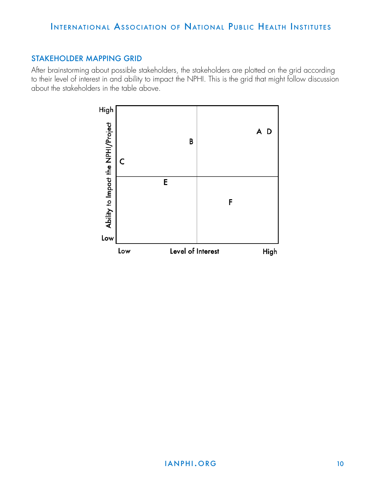### STAKEHOLDER MAPPING GRID

After brainstorming about possible stakeholders, the stakeholders are plotted on the grid according to their level of interest in and ability to impact the NPHI. This is the grid that might follow discussion about the stakeholders in the table above.

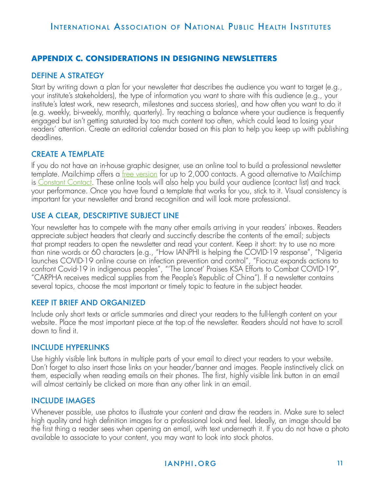## **APPENDIX C. CONSIDERATIONS IN DESIGNING NEWSLETTERS**

#### DEFINE A STRATEGY

Start by writing down a plan for your newsletter that describes the audience you want to target (e.g., your institute's stakeholders), the type of information you want to share with this audience (e.g., your institute's latest work, new research, milestones and success stories), and how often you want to do it (e.g. weekly, bi-weekly, monthly, quarterly). Try reaching a balance where your audience is frequently engaged but isn't getting saturated by too much content too often, which could lead to losing your readers' attention. Create an editorial calendar based on this plan to help you keep up with publishing deadlines.

### CREATE A TEMPLATE

If you do not have an in-house graphic designer, use an online tool to build a professional newsletter template. Mailchimp offers a <u>[free version](https://mailchimp.com/help/about-mailchimp-pricing-plans/)</u> for up to 2,000 contacts. A good alternative to Mailchimp is [Constant Contact](https://www.constantcontact.com/mainpage). These online tools will also help you build your audience (contact list) and track your performance. Once you have found a template that works for you, stick to it. Visual consistency is important for your newsletter and brand recognition and will look more professional.

### USE A CLEAR, DESCRIPTIVE SUBJECT LINE

Your newsletter has to compete with the many other emails arriving in your readers' inboxes. Readers appreciate subject headers that clearly and succinctly describe the contents of the email; subjects that prompt readers to open the newsletter and read your content. Keep it short: try to use no more than nine words or 60 characters (e.g., "How IANPHI is helping the COVID-19 response", "Nigeria launches COVID-19 online course on infection prevention and control", "Fiocruz expands actions to confront Covid-19 in indigenous peoples", "'The Lancet' Praises KSA Efforts to Combat COVID-19", "CARPHA receives medical supplies from the People's Republic of China"). If a newsletter contains several topics, choose the most important or timely topic to feature in the subject header.

### KEEP IT BRIEF AND ORGANIZED

Include only short texts or article summaries and direct your readers to the full-length content on your website. Place the most important piece at the top of the newsletter. Readers should not have to scroll down to find it.

#### INCLUDE HYPERLINKS

Use highly visible link buttons in multiple parts of your email to direct your readers to your website. Don't forget to also insert those links on your header/banner and images. People instinctively click on them, especially when reading emails on their phones. The first, highly visible link button in an email will almost certainly be clicked on more than any other link in an email.

### INCLUDE IMAGES

Whenever possible, use photos to illustrate your content and draw the readers in. Make sure to select high quality and high definition images for a professional look and feel. Ideally, an image should be the first thing a reader sees when opening an email, with text underneath it. If you do not have a photo available to associate to your content, you may want to look into stock photos.

## **IANPHI.ORG 11**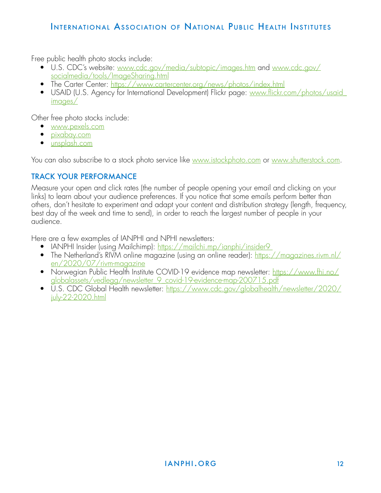Free public health photo stocks include:

- U.S. CDC's website: [www.cdc.gov/media/subtopic/images.htm and www.cdc.gov/](http://www.cdc.gov/media/subtopic/images.htm and www.cdc.gov/socialmedia/tools/ImageSharing.html) [socialmedia/tools/ImageSharing.html](http://www.cdc.gov/media/subtopic/images.htm and www.cdc.gov/socialmedia/tools/ImageSharing.html)
- The Carter Center:<https://www.cartercenter.org/news/photos/index.html>
- USAID (U.S. Agency for International Development) Flickr page: [www.flickr.com/photos/usaid\\_](http://www.flickr.com/photos/usaid_images/ ) [images/](http://www.flickr.com/photos/usaid_images/ )

Other free photo stocks include:

- [www.pexels.com](http://www.pexels.com)
- [pixabay.com](http://pixabay.com)
- [unsplash.com](http://unsplash.com)

You can also subscribe to a stock photo service like [www.istockphoto.com](http://www.istockphoto.com) or [www.shutterstock.com](http://www.shutterstock.com).

# TRACK YOUR PERFORMANCE

Measure your open and click rates (the number of people opening your email and clicking on your links) to learn about your audience preferences. If you notice that some emails perform better than others, don't hesitate to experiment and adapt your content and distribution strategy (length, frequency, best day of the week and time to send), in order to reach the largest number of people in your audience.

Here are a few examples of IANPHI and NPHI newsletters:

- IANPHI Insider (using Mailchimp): https://mailchi.mp/ianphi/insider9
- The Netherland's RIVM online magazine (using an online reader):  $\frac{\text{https://magazines.rium.nl/}}{\text{magazines.rium.nl/}}$ [en/2020/07/rivm-magazine](https://magazines.rivm.nl/en/2020/07/rivm-magazine )
- Norwegian Public Health Institute COVID-19 evidence map newsletter: [https://www.fhi.no/](https://www.fhi.no/globalassets/vedlegg/newsletter_9_covid-19-evidence-map-200715.pdf ) [globalassets/vedlegg/newsletter\\_9\\_covid-19-evidence-map-200715.pdf](https://www.fhi.no/globalassets/vedlegg/newsletter_9_covid-19-evidence-map-200715.pdf )
- U.S. CDC Global Health newsletter: [https://www.cdc.gov/globalhealth/newsletter/2020/](https://www.cdc.gov/globalhealth/newsletter/2020/july-22-2020.html ) [july-22-2020.html](https://www.cdc.gov/globalhealth/newsletter/2020/july-22-2020.html )